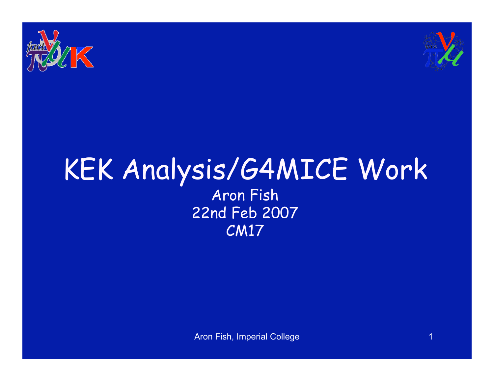



#### KEK Analysis/G4MICE Work Aron Fish 22nd Feb 2007 CM17

Aron Fish, Imperial College 1999 and 1999 and 1999 and 1999 and 1999 and 1999 and 1999 and 1999 and 1999 and 1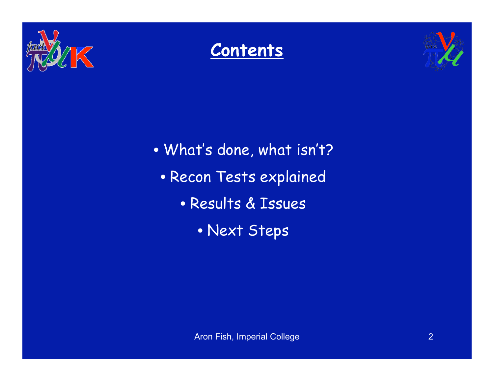





- What's done, what isn't?
	- Recon Tests explained
		- Results & Issues
			- Next Steps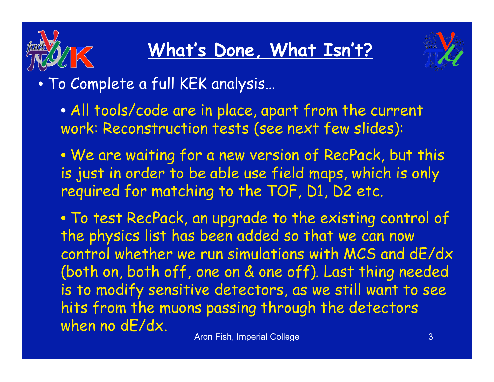

### **What' s Done, What Isn 't?**



- To Complete a full KEK analysis…
	- All tools/code are in place, apart from the current work: Reconstruction tests (see next few slides):
	- We are waiting for a new version of RecPack, but this is just in order to be able use field maps, which is only required for matching to the TOF, D1, D2 etc.

• To test RecPack, an upgrade to the existing control of the physics list has been added so that we can now control whether we run simulations with MCS and dE/dx (both on, both off, one on & one off). Last thing needed is to modify sensitive detectors, as we still want to see hits from the muons passing through the detectors when no dE/dx.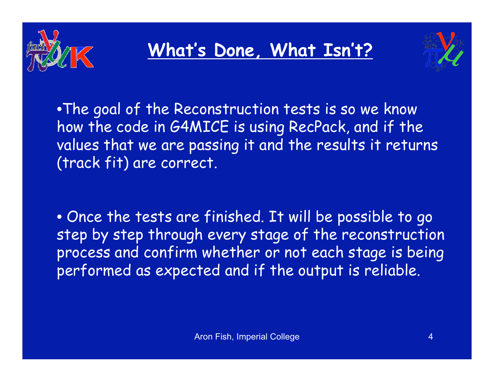

#### **What' s Done, What Isn 't?**



•The goal of the Reconstruction tests is so we know how the code in G4MICE is using RecPack, and if the values that we are passing it and the results it returns (track fit) are correct.

• Once the tests are finished. It will be possible to go step by step through every stage of the reconstruction process and confirm whether or not each stage is being performed as expected and if the output is reliable.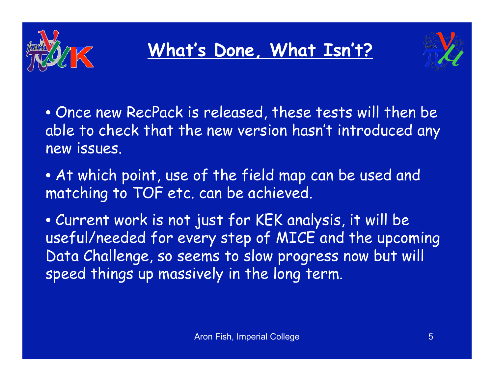

## **What' s Done, What Isn 't?**



• Once new RecPack is released, these tests will then be able to check that the new version hasn't introduced any new issues.

• At which point, use of the field map can be used and matching to TOF etc. can be achieved.

• Current work is not just for KEK analysis, it will be useful/needed for every step of MICE and the upcoming Data Challenge, so seems to slow progress now but will speed things up massively in the long term.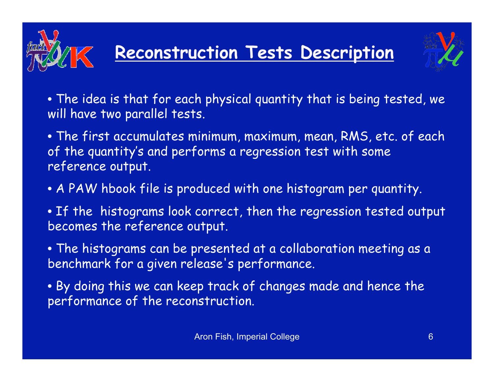

- The idea is that for each physical quantity that is being tested, we will have two parallel tests.
- The first accumulates minimum, maximum, mean, RMS, etc. of each of the quantity 's and performs a regression test with some reference output.
- A PAW hbook file is produced with one histogram per quantity.
- If the histograms look correct, then the regression tested output becomes the reference output.
- The histograms can be presented at a collaboration meeting as a benchmark for a given release 's performance.
- By doing this we can keep track of changes made and hence the performance of the reconstruction.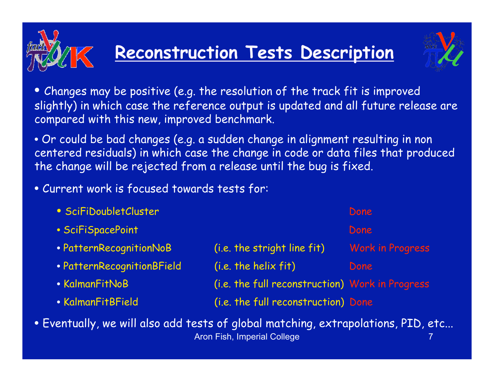# **Reconstruction Tests Description**



• Changes may be positive (e.g. the resolution of the track fit is improved slightly) in which case the reference output is updated and all future release are compared with this new, improved benchmark.

• Or could be bad changes (e.g. a sudden change in alignment resulting in non centered residuals) in which case the change in code or data files that produced the change will be rejected from a release until the bug is fixed.

• Current work is focused towards tests for:

| • SciFiDoubletCluster      |                                                 | Done                    |
|----------------------------|-------------------------------------------------|-------------------------|
| • SciFiSpacePoint          |                                                 | Done                    |
| • PatternRecognitionNoB    | (i.e. the stright line fit)                     | <b>Work in Progress</b> |
| • PatternRecognitionBField | (i.e. the helix fit)                            | Done                    |
| • KalmanFitNoB             | (i.e. the full reconstruction) Work in Progress |                         |
| • KalmanFitBField          | (i.e. the full reconstruction) Done             |                         |

Aron Fish, Imperial College 7 • Eventually, we will also add tests of global matching, extrapolations, PID, etc...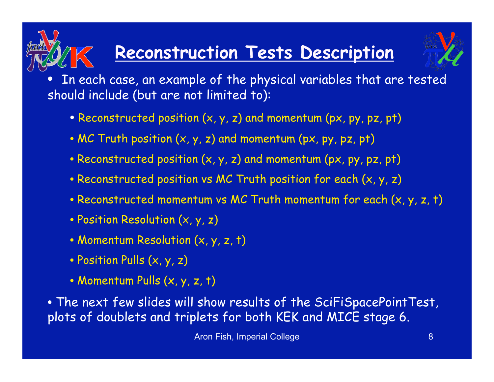## **Reconstruction Tests Description**



In each case, an example of the physical variables that are tested should include (but are not limited to):

- Reconstructed position (x, y, z) and momentum (px, py, pz, pt)
- MC Truth position (x, y, z) and momentum (px, py, pz, pt)
- Reconstructed position (x, y, z) and momentum (px, py, pz, pt)
- Reconstructed position vs MC Truth position for each (x, y, z)
- Reconstructed momentum vs MC Truth momentum for each (x, y, z, t)
- Position Resolution (x, y, z)
- Momentum Resolution (x, y, z, t)
- Position Pulls (x, y, z)
- Momentum Pulls (x, y, z, t)

• The next few slides will show results of the SciFiSpacePointTest, plots of doublets and triplets for both KEK and MICE stage 6.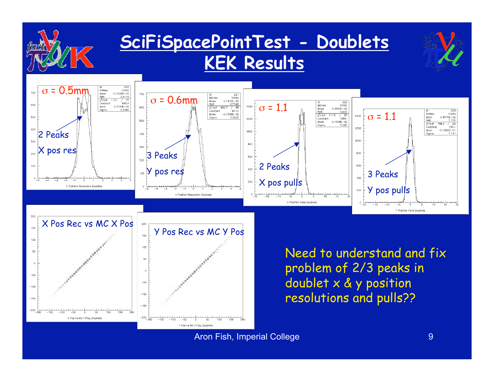

Aron Fish, Imperial College 9 and 1999 and 1999 and 1999 and 1999 and 1999 and 1999 and 1999 and 1999 and 1999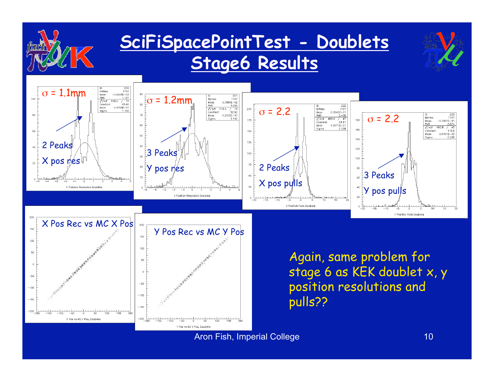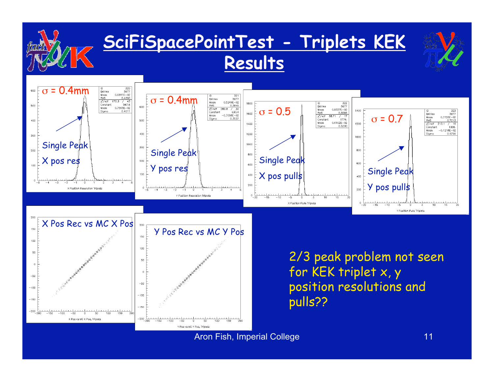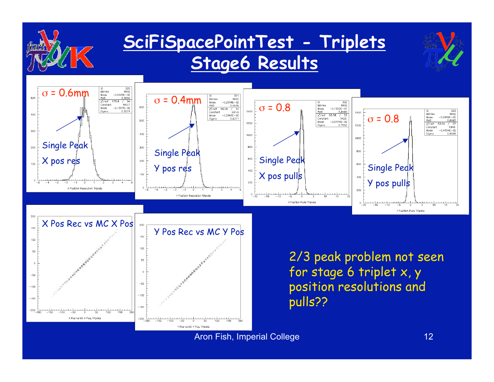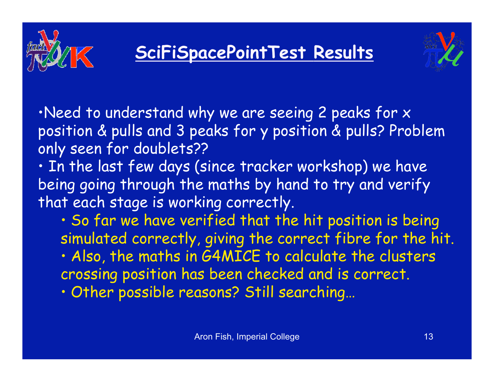



•Need to understand why we are seeing 2 peaks for x position & pulls and 3 peaks for y position & pulls? Problem only seen for doublets??

- In the last few days (since tracker workshop) we have being going through the maths by hand to try and verify that each stage is working correctly.
	- So far we have verified that the hit position is being simulated correctly, giving the correct fibre for the hit.
	- Also, the maths in G4MICE to calculate the clusters crossing position has been checked and is correct.
	- Other possible reasons? Still searching…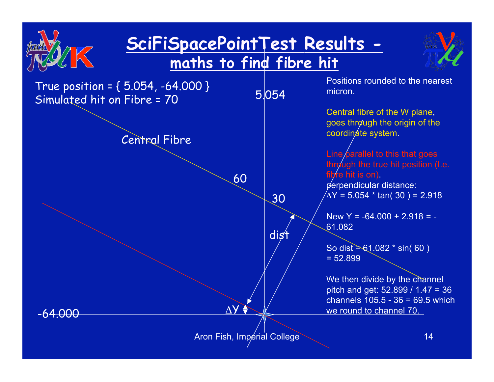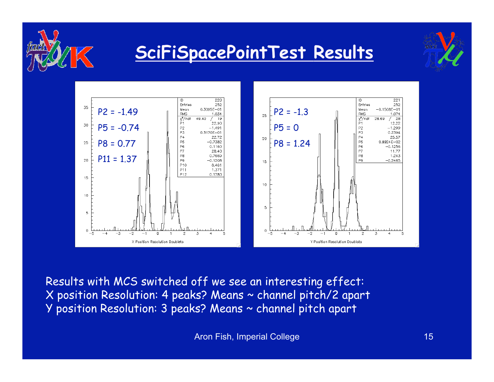

#### **SciFiSpacePointTest Results**





Results with MCS switched off we see an interesting effect: X position Resolution: 4 peaks? Means ~ channel pitch/2 apart Y position Resolution: 3 peaks? Means ~ channel pitch apart